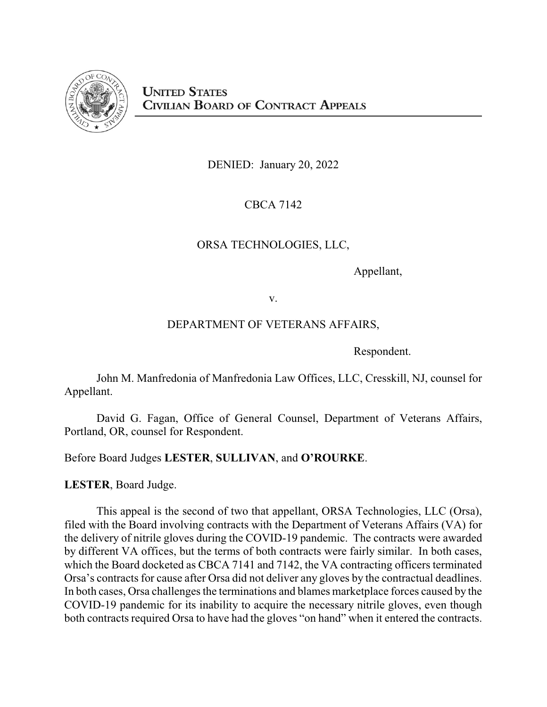

DENIED: January 20, 2022

CBCA 7142

# ORSA TECHNOLOGIES, LLC,

Appellant,

v.

# DEPARTMENT OF VETERANS AFFAIRS,

Respondent.

John M. Manfredonia of Manfredonia Law Offices, LLC, Cresskill, NJ, counsel for Appellant.

David G. Fagan, Office of General Counsel, Department of Veterans Affairs, Portland, OR, counsel for Respondent.

Before Board Judges **LESTER**, **SULLIVAN**, and **O'ROURKE**.

**LESTER**, Board Judge.

This appeal is the second of two that appellant, ORSA Technologies, LLC (Orsa), filed with the Board involving contracts with the Department of Veterans Affairs (VA) for the delivery of nitrile gloves during the COVID-19 pandemic. The contracts were awarded by different VA offices, but the terms of both contracts were fairly similar. In both cases, which the Board docketed as CBCA 7141 and 7142, the VA contracting officers terminated Orsa's contracts for cause after Orsa did not deliver any gloves by the contractual deadlines. In both cases, Orsa challenges the terminations and blames marketplace forces caused by the COVID-19 pandemic for its inability to acquire the necessary nitrile gloves, even though both contracts required Orsa to have had the gloves "on hand" when it entered the contracts.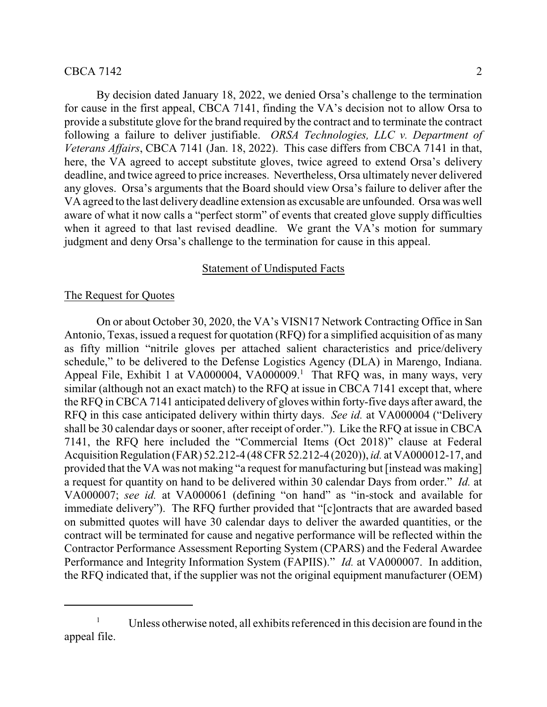# $\text{CBCA } 7142$  2

By decision dated January 18, 2022, we denied Orsa's challenge to the termination for cause in the first appeal, CBCA 7141, finding the VA's decision not to allow Orsa to provide a substitute glove for the brand required by the contract and to terminate the contract following a failure to deliver justifiable. *ORSA Technologies, LLC v. Department of Veterans Affairs*, CBCA 7141 (Jan. 18, 2022). This case differs from CBCA 7141 in that, here, the VA agreed to accept substitute gloves, twice agreed to extend Orsa's delivery deadline, and twice agreed to price increases. Nevertheless, Orsa ultimately never delivered any gloves. Orsa's arguments that the Board should view Orsa's failure to deliver after the VA agreed to the last delivery deadline extension as excusable are unfounded. Orsa was well aware of what it now calls a "perfect storm" of events that created glove supply difficulties when it agreed to that last revised deadline. We grant the VA's motion for summary judgment and deny Orsa's challenge to the termination for cause in this appeal.

## Statement of Undisputed Facts

## The Request for Quotes

On or about October 30, 2020, the VA's VISN17 Network Contracting Office in San Antonio, Texas, issued a request for quotation (RFQ) for a simplified acquisition of as many as fifty million "nitrile gloves per attached salient characteristics and price/delivery schedule," to be delivered to the Defense Logistics Agency (DLA) in Marengo, Indiana. Appeal File, Exhibit 1 at VA000004, VA000009.<sup>1</sup> That RFQ was, in many ways, very similar (although not an exact match) to the RFQ at issue in CBCA 7141 except that, where the RFQ in CBCA 7141 anticipated delivery of gloves within forty-five days after award, the RFQ in this case anticipated delivery within thirty days. *See id.* at VA000004 ("Delivery shall be 30 calendar days or sooner, after receipt of order."). Like the RFQ at issue in CBCA 7141, the RFQ here included the "Commercial Items (Oct 2018)" clause at Federal Acquisition Regulation (FAR) 52.212-4 (48 CFR 52.212-4 (2020)), *id.* at VA000012-17, and provided that the VA was not making "a request for manufacturing but [instead was making] a request for quantity on hand to be delivered within 30 calendar Days from order." *Id.* at VA000007; *see id.* at VA000061 (defining "on hand" as "in-stock and available for immediate delivery"). The RFQ further provided that "[c]ontracts that are awarded based on submitted quotes will have 30 calendar days to deliver the awarded quantities, or the contract will be terminated for cause and negative performance will be reflected within the Contractor Performance Assessment Reporting System (CPARS) and the Federal Awardee Performance and Integrity Information System (FAPIIS)." *Id.* at VA000007. In addition, the RFQ indicated that, if the supplier was not the original equipment manufacturer (OEM)

<sup>&</sup>lt;sup>1</sup> Unless otherwise noted, all exhibits referenced in this decision are found in the appeal file.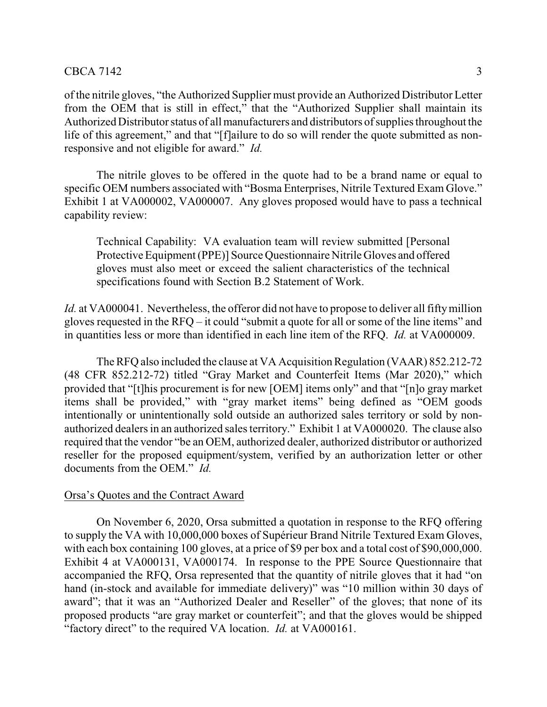# $\text{CBCA } 7142$  3

of the nitrile gloves, "the Authorized Supplier must provide an Authorized Distributor Letter from the OEM that is still in effect," that the "Authorized Supplier shall maintain its Authorized Distributor status of all manufacturers and distributors of supplies throughout the life of this agreement," and that "[f]ailure to do so will render the quote submitted as nonresponsive and not eligible for award." *Id.*

The nitrile gloves to be offered in the quote had to be a brand name or equal to specific OEM numbers associated with "Bosma Enterprises, Nitrile Textured Exam Glove." Exhibit 1 at VA000002, VA000007. Any gloves proposed would have to pass a technical capability review:

Technical Capability: VA evaluation team will review submitted [Personal Protective Equipment (PPE)] Source Questionnaire Nitrile Gloves and offered gloves must also meet or exceed the salient characteristics of the technical specifications found with Section B.2 Statement of Work.

*Id.* at VA000041. Nevertheless, the offeror did not have to propose to deliver all fifty million gloves requested in the RFQ – it could "submit a quote for all or some of the line items" and in quantities less or more than identified in each line item of the RFQ. *Id.* at VA000009.

The RFQ also included the clause at VA Acquisition Regulation (VAAR) 852.212-72 (48 CFR 852.212-72) titled "Gray Market and Counterfeit Items (Mar 2020)," which provided that "[t]his procurement is for new [OEM] items only" and that "[n]o gray market items shall be provided," with "gray market items" being defined as "OEM goods intentionally or unintentionally sold outside an authorized sales territory or sold by nonauthorized dealers in an authorized sales territory." Exhibit 1 at VA000020. The clause also required that the vendor "be an OEM, authorized dealer, authorized distributor or authorized reseller for the proposed equipment/system, verified by an authorization letter or other documents from the OEM." *Id.*

## Orsa's Quotes and the Contract Award

On November 6, 2020, Orsa submitted a quotation in response to the RFQ offering to supply the VA with 10,000,000 boxes of Supérieur Brand Nitrile Textured Exam Gloves, with each box containing 100 gloves, at a price of \$9 per box and a total cost of \$90,000,000. Exhibit 4 at VA000131, VA000174. In response to the PPE Source Questionnaire that accompanied the RFQ, Orsa represented that the quantity of nitrile gloves that it had "on hand (in-stock and available for immediate delivery)" was "10 million within 30 days of award"; that it was an "Authorized Dealer and Reseller" of the gloves; that none of its proposed products "are gray market or counterfeit"; and that the gloves would be shipped "factory direct" to the required VA location. *Id.* at VA000161.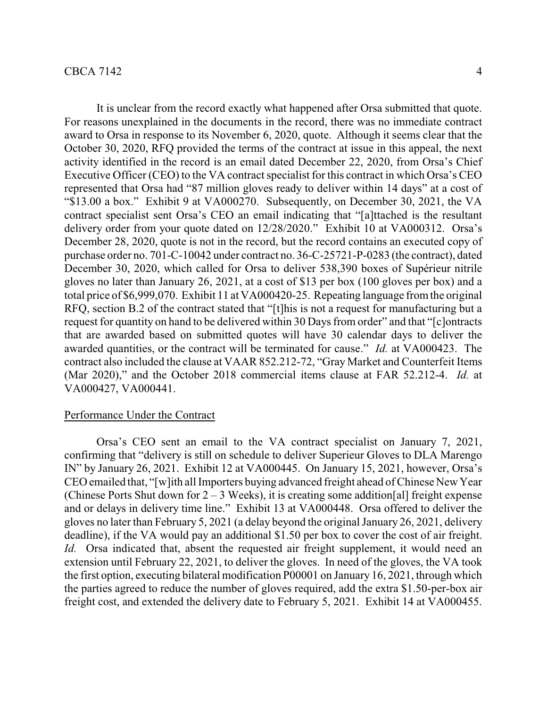It is unclear from the record exactly what happened after Orsa submitted that quote. For reasons unexplained in the documents in the record, there was no immediate contract award to Orsa in response to its November 6, 2020, quote. Although it seems clear that the October 30, 2020, RFQ provided the terms of the contract at issue in this appeal, the next activity identified in the record is an email dated December 22, 2020, from Orsa's Chief Executive Officer (CEO) to the VA contract specialist for this contract in which Orsa's CEO represented that Orsa had "87 million gloves ready to deliver within 14 days" at a cost of "\$13.00 a box." Exhibit 9 at VA000270. Subsequently, on December 30, 2021, the VA contract specialist sent Orsa's CEO an email indicating that "[a]ttached is the resultant delivery order from your quote dated on 12/28/2020." Exhibit 10 at VA000312. Orsa's December 28, 2020, quote is not in the record, but the record contains an executed copy of purchase order no. 701-C-10042 under contract no. 36-C-25721-P-0283 (the contract), dated December 30, 2020, which called for Orsa to deliver 538,390 boxes of Supérieur nitrile gloves no later than January 26, 2021, at a cost of \$13 per box (100 gloves per box) and a total price of \$6,999,070. Exhibit 11 at VA000420-25. Repeating language fromthe original RFQ, section B.2 of the contract stated that "[t]his is not a request for manufacturing but a request for quantity on hand to be delivered within 30 Days from order" and that "[c]ontracts that are awarded based on submitted quotes will have 30 calendar days to deliver the awarded quantities, or the contract will be terminated for cause." *Id.* at VA000423. The contract also included the clause at VAAR 852.212-72, "Gray Market and Counterfeit Items (Mar 2020)," and the October 2018 commercial items clause at FAR 52.212-4. *Id.* at VA000427, VA000441.

#### Performance Under the Contract

Orsa's CEO sent an email to the VA contract specialist on January 7, 2021, confirming that "delivery is still on schedule to deliver Superieur Gloves to DLA Marengo IN" by January 26, 2021. Exhibit 12 at VA000445. On January 15, 2021, however, Orsa's CEO emailed that, "[w]ith all Importers buying advanced freight ahead of Chinese New Year (Chinese Ports Shut down for  $2 - 3$  Weeks), it is creating some addition[al] freight expense and or delays in delivery time line." Exhibit 13 at VA000448. Orsa offered to deliver the gloves no later than February 5, 2021 (a delay beyond the original January 26, 2021, delivery deadline), if the VA would pay an additional \$1.50 per box to cover the cost of air freight. *Id.* Orsa indicated that, absent the requested air freight supplement, it would need an extension until February 22, 2021, to deliver the gloves. In need of the gloves, the VA took the first option, executing bilateral modification P00001 on January 16, 2021, through which the parties agreed to reduce the number of gloves required, add the extra \$1.50-per-box air freight cost, and extended the delivery date to February 5, 2021. Exhibit 14 at VA000455.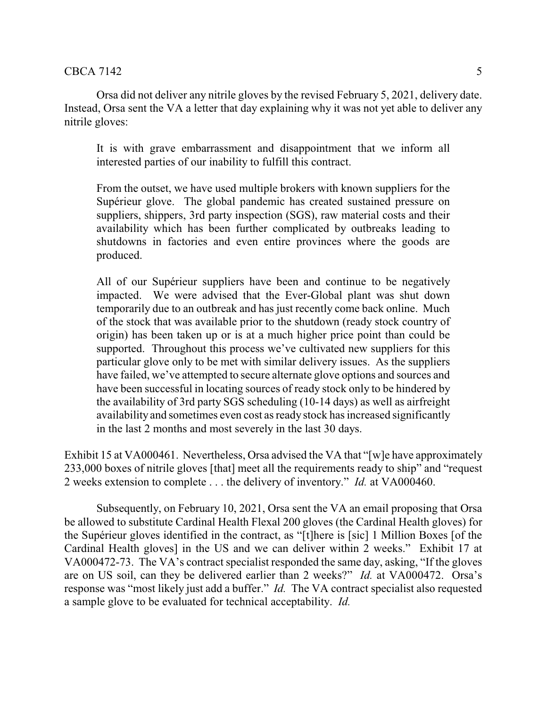Orsa did not deliver any nitrile gloves by the revised February 5, 2021, delivery date. Instead, Orsa sent the VA a letter that day explaining why it was not yet able to deliver any nitrile gloves:

It is with grave embarrassment and disappointment that we inform all interested parties of our inability to fulfill this contract.

From the outset, we have used multiple brokers with known suppliers for the Supérieur glove. The global pandemic has created sustained pressure on suppliers, shippers, 3rd party inspection (SGS), raw material costs and their availability which has been further complicated by outbreaks leading to shutdowns in factories and even entire provinces where the goods are produced.

All of our Supérieur suppliers have been and continue to be negatively impacted. We were advised that the Ever-Global plant was shut down temporarily due to an outbreak and has just recently come back online. Much of the stock that was available prior to the shutdown (ready stock country of origin) has been taken up or is at a much higher price point than could be supported. Throughout this process we've cultivated new suppliers for this particular glove only to be met with similar delivery issues. As the suppliers have failed, we've attempted to secure alternate glove options and sources and have been successful in locating sources of ready stock only to be hindered by the availability of 3rd party SGS scheduling (10-14 days) as well as airfreight availability and sometimes even cost as ready stock has increased significantly in the last 2 months and most severely in the last 30 days.

Exhibit 15 at VA000461. Nevertheless, Orsa advised the VA that "[w]e have approximately 233,000 boxes of nitrile gloves [that] meet all the requirements ready to ship" and "request 2 weeks extension to complete . . . the delivery of inventory." *Id.* at VA000460.

Subsequently, on February 10, 2021, Orsa sent the VA an email proposing that Orsa be allowed to substitute Cardinal Health Flexal 200 gloves (the Cardinal Health gloves) for the Supérieur gloves identified in the contract, as "[t]here is [sic] 1 Million Boxes [of the Cardinal Health gloves] in the US and we can deliver within 2 weeks." Exhibit 17 at VA000472-73. The VA's contract specialist responded the same day, asking, "If the gloves are on US soil, can they be delivered earlier than 2 weeks?" *Id.* at VA000472. Orsa's response was "most likely just add a buffer." *Id.* The VA contract specialist also requested a sample glove to be evaluated for technical acceptability. *Id.*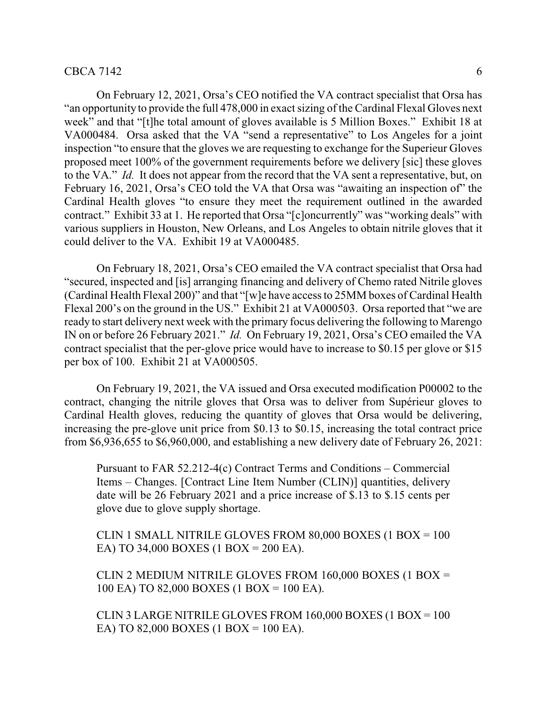### $CBCA 7142$  6

On February 12, 2021, Orsa's CEO notified the VA contract specialist that Orsa has "an opportunity to provide the full 478,000 in exact sizing of the Cardinal Flexal Gloves next week" and that "[t]he total amount of gloves available is 5 Million Boxes." Exhibit 18 at VA000484. Orsa asked that the VA "send a representative" to Los Angeles for a joint inspection "to ensure that the gloves we are requesting to exchange for the Superieur Gloves proposed meet 100% of the government requirements before we delivery [sic] these gloves to the VA." *Id.* It does not appear from the record that the VA sent a representative, but, on February 16, 2021, Orsa's CEO told the VA that Orsa was "awaiting an inspection of" the Cardinal Health gloves "to ensure they meet the requirement outlined in the awarded contract." Exhibit 33 at 1. He reported that Orsa "[c]oncurrently" was "working deals" with various suppliers in Houston, New Orleans, and Los Angeles to obtain nitrile gloves that it could deliver to the VA. Exhibit 19 at VA000485.

On February 18, 2021, Orsa's CEO emailed the VA contract specialist that Orsa had "secured, inspected and [is] arranging financing and delivery of Chemo rated Nitrile gloves (Cardinal Health Flexal 200)" and that "[w]e have access to 25MM boxes of Cardinal Health Flexal 200's on the ground in the US." Exhibit 21 at VA000503. Orsa reported that "we are ready to start delivery next week with the primary focus delivering the following to Marengo IN on or before 26 February 2021." *Id.* On February 19, 2021, Orsa's CEO emailed the VA contract specialist that the per-glove price would have to increase to \$0.15 per glove or \$15 per box of 100. Exhibit 21 at VA000505.

On February 19, 2021, the VA issued and Orsa executed modification P00002 to the contract, changing the nitrile gloves that Orsa was to deliver from Supérieur gloves to Cardinal Health gloves, reducing the quantity of gloves that Orsa would be delivering, increasing the pre-glove unit price from \$0.13 to \$0.15, increasing the total contract price from \$6,936,655 to \$6,960,000, and establishing a new delivery date of February 26, 2021:

Pursuant to FAR 52.212-4(c) Contract Terms and Conditions – Commercial Items – Changes. [Contract Line Item Number (CLIN)] quantities, delivery date will be 26 February 2021 and a price increase of \$.13 to \$.15 cents per glove due to glove supply shortage.

CLIN 1 SMALL NITRILE GLOVES FROM 80,000 BOXES (1 BOX = 100 EA) TO 34,000 BOXES (1 BOX = 200 EA).

CLIN 2 MEDIUM NITRILE GLOVES FROM 160,000 BOXES (1 BOX = 100 EA) TO 82,000 BOXES (1 BOX = 100 EA).

CLIN 3 LARGE NITRILE GLOVES FROM 160,000 BOXES (1 BOX = 100 EA) TO 82,000 BOXES (1 BOX = 100 EA).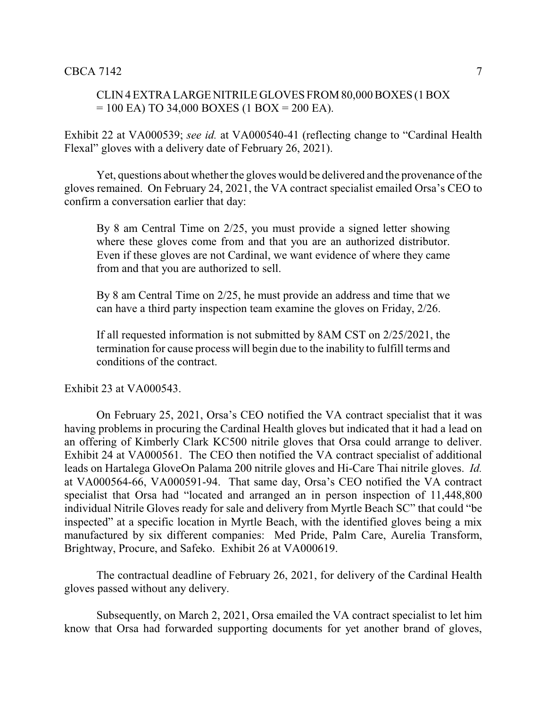# CLIN 4 EXTRA LARGENITRILE GLOVES FROM 80,000 BOXES (1 BOX  $= 100$  EA) TO 34,000 BOXES (1 BOX  $= 200$  EA).

Exhibit 22 at VA000539; *see id.* at VA000540-41 (reflecting change to "Cardinal Health Flexal" gloves with a delivery date of February 26, 2021).

Yet, questions about whether the gloves would be delivered and the provenance of the gloves remained. On February 24, 2021, the VA contract specialist emailed Orsa's CEO to confirm a conversation earlier that day:

By 8 am Central Time on 2/25, you must provide a signed letter showing where these gloves come from and that you are an authorized distributor. Even if these gloves are not Cardinal, we want evidence of where they came from and that you are authorized to sell.

By 8 am Central Time on 2/25, he must provide an address and time that we can have a third party inspection team examine the gloves on Friday, 2/26.

If all requested information is not submitted by 8AM CST on 2/25/2021, the termination for cause process will begin due to the inability to fulfill terms and conditions of the contract.

Exhibit 23 at VA000543.

On February 25, 2021, Orsa's CEO notified the VA contract specialist that it was having problems in procuring the Cardinal Health gloves but indicated that it had a lead on an offering of Kimberly Clark KC500 nitrile gloves that Orsa could arrange to deliver. Exhibit 24 at VA000561. The CEO then notified the VA contract specialist of additional leads on Hartalega GloveOn Palama 200 nitrile gloves and Hi-Care Thai nitrile gloves. *Id.* at VA000564-66, VA000591-94. That same day, Orsa's CEO notified the VA contract specialist that Orsa had "located and arranged an in person inspection of 11,448,800 individual Nitrile Gloves ready for sale and delivery from Myrtle Beach SC" that could "be inspected" at a specific location in Myrtle Beach, with the identified gloves being a mix manufactured by six different companies: Med Pride, Palm Care, Aurelia Transform, Brightway, Procure, and Safeko. Exhibit 26 at VA000619.

The contractual deadline of February 26, 2021, for delivery of the Cardinal Health gloves passed without any delivery.

Subsequently, on March 2, 2021, Orsa emailed the VA contract specialist to let him know that Orsa had forwarded supporting documents for yet another brand of gloves,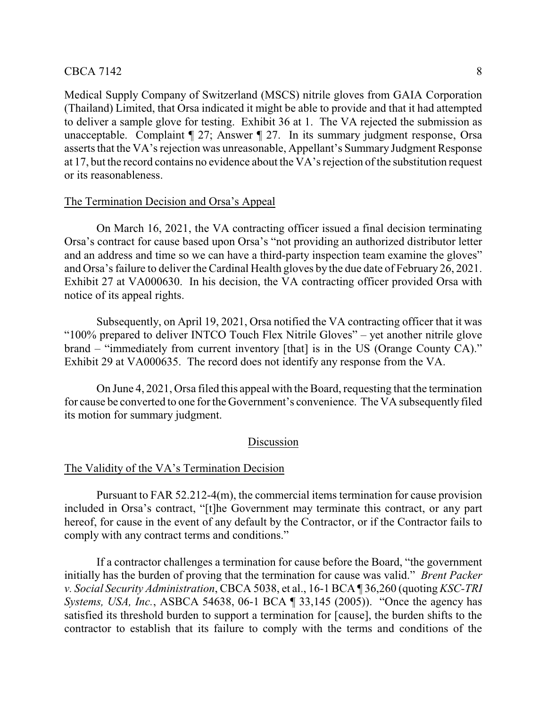# $\text{CBCA } 7142$  8

Medical Supply Company of Switzerland (MSCS) nitrile gloves from GAIA Corporation (Thailand) Limited, that Orsa indicated it might be able to provide and that it had attempted to deliver a sample glove for testing. Exhibit 36 at 1. The VA rejected the submission as unacceptable. Complaint ¶ 27; Answer ¶ 27. In its summary judgment response, Orsa asserts that the VA's rejection was unreasonable, Appellant's Summary Judgment Response at 17, but the record contains no evidence about the VA's rejection of the substitution request or its reasonableness.

## The Termination Decision and Orsa's Appeal

On March 16, 2021, the VA contracting officer issued a final decision terminating Orsa's contract for cause based upon Orsa's "not providing an authorized distributor letter and an address and time so we can have a third-party inspection team examine the gloves" and Orsa's failure to deliver the Cardinal Health gloves by the due date of February 26, 2021. Exhibit 27 at VA000630. In his decision, the VA contracting officer provided Orsa with notice of its appeal rights.

Subsequently, on April 19, 2021, Orsa notified the VA contracting officer that it was "100% prepared to deliver INTCO Touch Flex Nitrile Gloves" – yet another nitrile glove brand – "immediately from current inventory [that] is in the US (Orange County CA)." Exhibit 29 at VA000635. The record does not identify any response from the VA.

On June 4, 2021, Orsa filed this appeal with the Board, requesting that the termination for cause be converted to one for the Government's convenience. The VA subsequently filed its motion for summary judgment.

# Discussion

### The Validity of the VA's Termination Decision

Pursuant to FAR 52.212-4(m), the commercial items termination for cause provision included in Orsa's contract, "[t]he Government may terminate this contract, or any part hereof, for cause in the event of any default by the Contractor, or if the Contractor fails to comply with any contract terms and conditions."

If a contractor challenges a termination for cause before the Board, "the government initially has the burden of proving that the termination for cause was valid." *Brent Packer v. Social Security Administration*, CBCA 5038, et al., 16-1 BCA ¶ 36,260 (quoting *KSC-TRI Systems, USA, Inc.*, ASBCA 54638, 06-1 BCA ¶ 33,145 (2005)). "Once the agency has satisfied its threshold burden to support a termination for [cause], the burden shifts to the contractor to establish that its failure to comply with the terms and conditions of the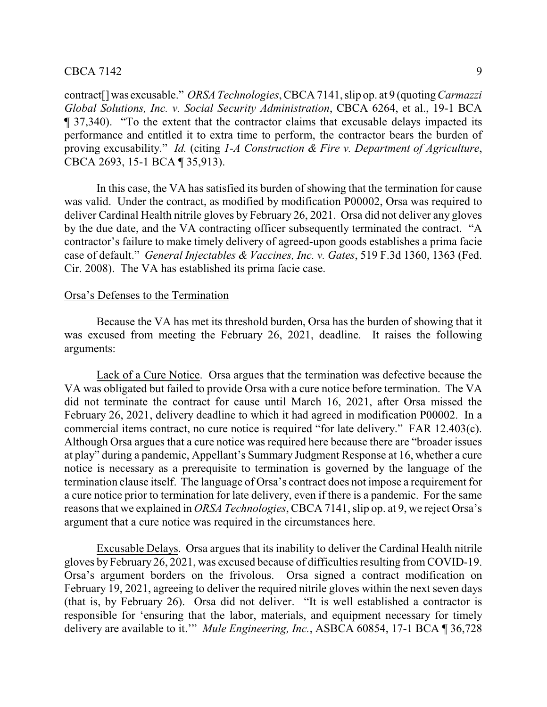contract[]was excusable." *ORSA Technologies*, CBCA 7141, slip op. at 9 (quoting *Carmazzi Global Solutions, Inc. v. Social Security Administration*, CBCA 6264, et al., 19-1 BCA ¶ 37,340). "To the extent that the contractor claims that excusable delays impacted its performance and entitled it to extra time to perform, the contractor bears the burden of proving excusability." *Id.* (citing *1-A Construction & Fire v. Department of Agriculture*, CBCA 2693, 15-1 BCA ¶ 35,913).

In this case, the VA has satisfied its burden of showing that the termination for cause was valid. Under the contract, as modified by modification P00002, Orsa was required to deliver Cardinal Health nitrile gloves by February 26, 2021. Orsa did not deliver any gloves by the due date, and the VA contracting officer subsequently terminated the contract. "A contractor's failure to make timely delivery of agreed-upon goods establishes a prima facie case of default." *General Injectables & Vaccines, Inc. v. Gates*, 519 F.3d 1360, 1363 (Fed. Cir. 2008). The VA has established its prima facie case.

## Orsa's Defenses to the Termination

Because the VA has met its threshold burden, Orsa has the burden of showing that it was excused from meeting the February 26, 2021, deadline. It raises the following arguments:

Lack of a Cure Notice. Orsa argues that the termination was defective because the VA was obligated but failed to provide Orsa with a cure notice before termination. The VA did not terminate the contract for cause until March 16, 2021, after Orsa missed the February 26, 2021, delivery deadline to which it had agreed in modification P00002. In a commercial items contract, no cure notice is required "for late delivery." FAR 12.403(c). Although Orsa argues that a cure notice was required here because there are "broader issues at play" during a pandemic, Appellant's Summary Judgment Response at 16, whether a cure notice is necessary as a prerequisite to termination is governed by the language of the termination clause itself. The language of Orsa's contract does not impose a requirement for a cure notice prior to termination for late delivery, even if there is a pandemic. For the same reasons that we explained in *ORSA Technologies*, CBCA 7141, slip op. at 9, we reject Orsa's argument that a cure notice was required in the circumstances here.

Excusable Delays. Orsa argues that its inability to deliver the Cardinal Health nitrile gloves by February 26, 2021, was excused because of difficulties resulting from COVID-19. Orsa's argument borders on the frivolous. Orsa signed a contract modification on February 19, 2021, agreeing to deliver the required nitrile gloves within the next seven days (that is, by February 26). Orsa did not deliver. "It is well established a contractor is responsible for 'ensuring that the labor, materials, and equipment necessary for timely delivery are available to it.'" *Mule Engineering, Inc.*, ASBCA 60854, 17-1 BCA ¶ 36,728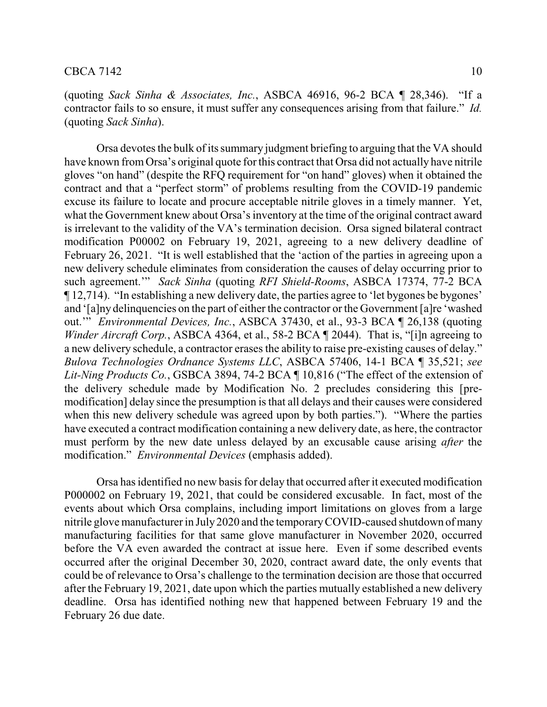(quoting *Sack Sinha & Associates, Inc.*, ASBCA 46916, 96-2 BCA ¶ 28,346). "If a contractor fails to so ensure, it must suffer any consequences arising from that failure." *Id.* (quoting *Sack Sinha*).

Orsa devotes the bulk of its summary judgment briefing to arguing that the VA should have known fromOrsa's original quote for this contract that Orsa did not actually have nitrile gloves "on hand" (despite the RFQ requirement for "on hand" gloves) when it obtained the contract and that a "perfect storm" of problems resulting from the COVID-19 pandemic excuse its failure to locate and procure acceptable nitrile gloves in a timely manner. Yet, what the Government knew about Orsa's inventory at the time of the original contract award is irrelevant to the validity of the VA's termination decision. Orsa signed bilateral contract modification P00002 on February 19, 2021, agreeing to a new delivery deadline of February 26, 2021. "It is well established that the 'action of the parties in agreeing upon a new delivery schedule eliminates from consideration the causes of delay occurring prior to such agreement.'" *Sack Sinha* (quoting *RFI Shield-Rooms*, ASBCA 17374, 77-2 BCA ¶ 12,714). "In establishing a new delivery date, the parties agree to 'let bygones be bygones' and '[a]ny delinquencies on the part of either the contractor or the Government [a]re 'washed out.'" *Environmental Devices, Inc.*, ASBCA 37430, et al., 93-3 BCA ¶ 26,138 (quoting *Winder Aircraft Corp.*, ASBCA 4364, et al., 58-2 BCA ¶ 2044). That is, "[i]n agreeing to a new delivery schedule, a contractor erases the ability to raise pre-existing causes of delay." *Bulova Technologies Ordnance Systems LLC*, ASBCA 57406, 14-1 BCA ¶ 35,521; *see Lit-Ning Products Co.*, GSBCA 3894, 74-2 BCA ¶ 10,816 ("The effect of the extension of the delivery schedule made by Modification No. 2 precludes considering this [premodification] delay since the presumption is that all delays and their causes were considered when this new delivery schedule was agreed upon by both parties."). "Where the parties have executed a contract modification containing a new delivery date, as here, the contractor must perform by the new date unless delayed by an excusable cause arising *after* the modification." *Environmental Devices* (emphasis added).

Orsa has identified no new basis for delay that occurred after it executed modification P000002 on February 19, 2021, that could be considered excusable. In fact, most of the events about which Orsa complains, including import limitations on gloves from a large nitrile glove manufacturer in July 2020 and the temporaryCOVID-caused shutdown of many manufacturing facilities for that same glove manufacturer in November 2020, occurred before the VA even awarded the contract at issue here. Even if some described events occurred after the original December 30, 2020, contract award date, the only events that could be of relevance to Orsa's challenge to the termination decision are those that occurred after the February 19, 2021, date upon which the parties mutually established a new delivery deadline. Orsa has identified nothing new that happened between February 19 and the February 26 due date.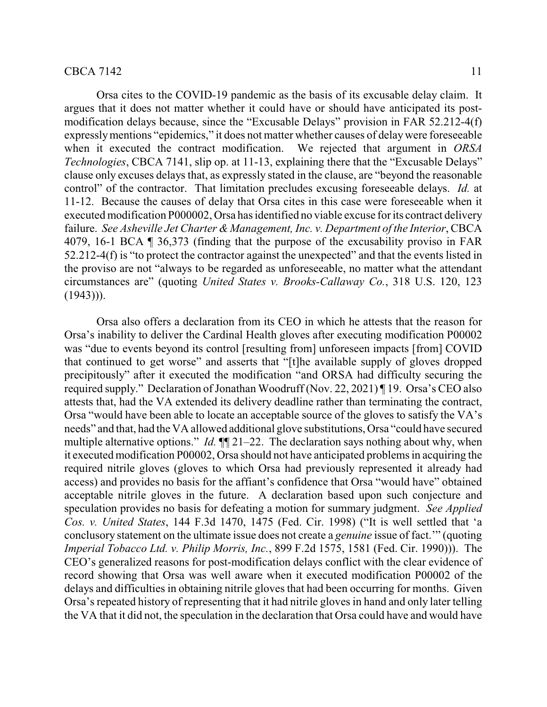### $\text{CBCA 7142}$  11

Orsa cites to the COVID-19 pandemic as the basis of its excusable delay claim. It argues that it does not matter whether it could have or should have anticipated its postmodification delays because, since the "Excusable Delays" provision in FAR 52.212-4(f) expresslymentions "epidemics," it does not matter whether causes of delaywere foreseeable when it executed the contract modification. We rejected that argument in *ORSA Technologies*, CBCA 7141, slip op. at 11-13, explaining there that the "Excusable Delays" clause only excuses delays that, as expressly stated in the clause, are "beyond the reasonable control" of the contractor. That limitation precludes excusing foreseeable delays. *Id.* at 11-12. Because the causes of delay that Orsa cites in this case were foreseeable when it executed modification P000002, Orsa has identified no viable excuse for its contract delivery failure. *See Asheville Jet Charter & Management, Inc. v. Department of the Interior*, CBCA 4079, 16-1 BCA ¶ 36,373 (finding that the purpose of the excusability proviso in FAR 52.212-4(f) is "to protect the contractor against the unexpected" and that the events listed in the proviso are not "always to be regarded as unforeseeable, no matter what the attendant circumstances are" (quoting *United States v. Brooks-Callaway Co.*, 318 U.S. 120, 123  $(1943)$ ).

Orsa also offers a declaration from its CEO in which he attests that the reason for Orsa's inability to deliver the Cardinal Health gloves after executing modification P00002 was "due to events beyond its control [resulting from] unforeseen impacts [from] COVID that continued to get worse" and asserts that "[t]he available supply of gloves dropped precipitously" after it executed the modification "and ORSA had difficulty securing the required supply." Declaration of Jonathan Woodruff (Nov. 22, 2021) ¶ 19. Orsa's CEO also attests that, had the VA extended its delivery deadline rather than terminating the contract, Orsa "would have been able to locate an acceptable source of the gloves to satisfy the VA's needs" and that, had the VA allowed additional glove substitutions, Orsa "could have secured multiple alternative options." *Id.*  $\P$  21–22. The declaration says nothing about why, when it executed modification P00002, Orsa should not have anticipated problemsin acquiring the required nitrile gloves (gloves to which Orsa had previously represented it already had access) and provides no basis for the affiant's confidence that Orsa "would have" obtained acceptable nitrile gloves in the future. A declaration based upon such conjecture and speculation provides no basis for defeating a motion for summary judgment. *See Applied Cos. v. United States*, 144 F.3d 1470, 1475 (Fed. Cir. 1998) ("It is well settled that 'a conclusory statement on the ultimate issue does not create a *genuine* issue of fact.'" (quoting *Imperial Tobacco Ltd. v. Philip Morris, Inc.*, 899 F.2d 1575, 1581 (Fed. Cir. 1990))). The CEO's generalized reasons for post-modification delays conflict with the clear evidence of record showing that Orsa was well aware when it executed modification P00002 of the delays and difficulties in obtaining nitrile gloves that had been occurring for months. Given Orsa's repeated history of representing that it had nitrile gloves in hand and only later telling the VA that it did not, the speculation in the declaration that Orsa could have and would have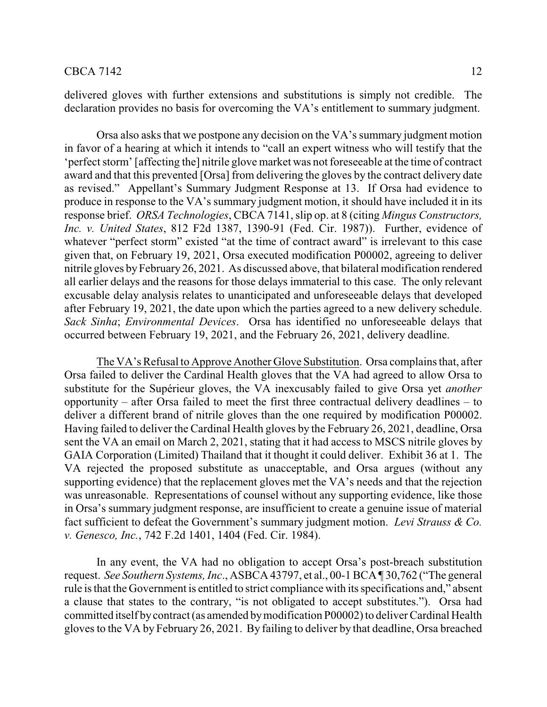### $CBCA 7142$  12

delivered gloves with further extensions and substitutions is simply not credible. The declaration provides no basis for overcoming the VA's entitlement to summary judgment.

Orsa also asks that we postpone any decision on the VA's summary judgment motion in favor of a hearing at which it intends to "call an expert witness who will testify that the 'perfect storm' [affecting the] nitrile glove market was not foreseeable at the time of contract award and that this prevented [Orsa] from delivering the gloves by the contract delivery date as revised." Appellant's Summary Judgment Response at 13. If Orsa had evidence to produce in response to the VA's summary judgment motion, it should have included it in its response brief. *ORSA Technologies*, CBCA 7141, slip op. at 8 (citing *Mingus Constructors, Inc. v. United States*, 812 F2d 1387, 1390-91 (Fed. Cir. 1987)). Further, evidence of whatever "perfect storm" existed "at the time of contract award" is irrelevant to this case given that, on February 19, 2021, Orsa executed modification P00002, agreeing to deliver nitrile gloves byFebruary 26, 2021. As discussed above, that bilateral modification rendered all earlier delays and the reasons for those delays immaterial to this case. The only relevant excusable delay analysis relates to unanticipated and unforeseeable delays that developed after February 19, 2021, the date upon which the parties agreed to a new delivery schedule. *Sack Sinha*; *Environmental Devices*. Orsa has identified no unforeseeable delays that occurred between February 19, 2021, and the February 26, 2021, delivery deadline.

The VA's Refusal to Approve Another Glove Substitution. Orsa complains that, after Orsa failed to deliver the Cardinal Health gloves that the VA had agreed to allow Orsa to substitute for the Supérieur gloves, the VA inexcusably failed to give Orsa yet *another* opportunity – after Orsa failed to meet the first three contractual delivery deadlines – to deliver a different brand of nitrile gloves than the one required by modification P00002. Having failed to deliver the Cardinal Health gloves by the February 26, 2021, deadline, Orsa sent the VA an email on March 2, 2021, stating that it had access to MSCS nitrile gloves by GAIA Corporation (Limited) Thailand that it thought it could deliver. Exhibit 36 at 1. The VA rejected the proposed substitute as unacceptable, and Orsa argues (without any supporting evidence) that the replacement gloves met the VA's needs and that the rejection was unreasonable. Representations of counsel without any supporting evidence, like those in Orsa's summary judgment response, are insufficient to create a genuine issue of material fact sufficient to defeat the Government's summary judgment motion. *Levi Strauss & Co. v. Genesco, Inc.*, 742 F.2d 1401, 1404 (Fed. Cir. 1984).

In any event, the VA had no obligation to accept Orsa's post-breach substitution request. *See Southern Systems, Inc*., ASBCA 43797, et al., 00-1 BCA ¶ 30,762 ("The general rule is that the Government is entitled to strict compliance with its specifications and," absent a clause that states to the contrary, "is not obligated to accept substitutes."). Orsa had committed itself bycontract (as amended bymodification P00002) to deliver Cardinal Health gloves to the VA by February 26, 2021. By failing to deliver by that deadline, Orsa breached